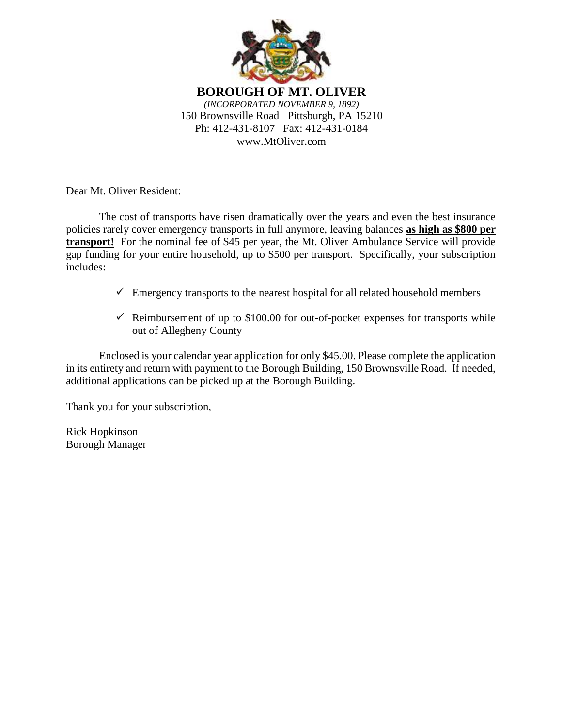

Dear Mt. Oliver Resident:

The cost of transports have risen dramatically over the years and even the best insurance policies rarely cover emergency transports in full anymore, leaving balances **as high as \$800 per transport!** For the nominal fee of \$45 per year, the Mt. Oliver Ambulance Service will provide gap funding for your entire household, up to \$500 per transport. Specifically, your subscription includes:

- $\checkmark$  Emergency transports to the nearest hospital for all related household members
- $\checkmark$  Reimbursement of up to \$100.00 for out-of-pocket expenses for transports while out of Allegheny County

Enclosed is your calendar year application for only \$45.00. Please complete the application in its entirety and return with payment to the Borough Building, 150 Brownsville Road. If needed, additional applications can be picked up at the Borough Building.

Thank you for your subscription,

Rick Hopkinson Borough Manager